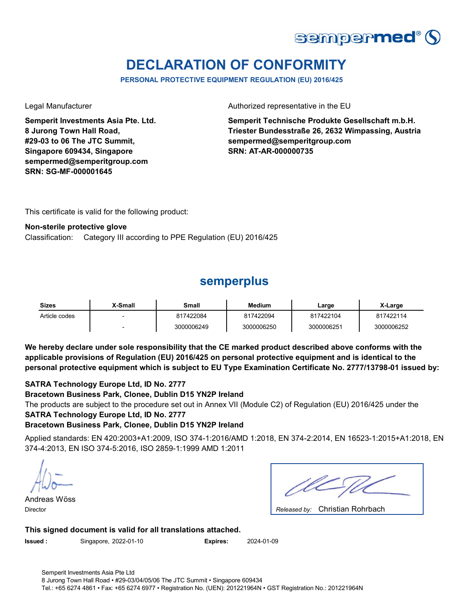

# **DECLARATION OF CONFORMITY**

**PERSONAL PROTECTIVE EQUIPMENT REGULATION (EU) 2016/425**

**Semperit Investments Asia Pte. Ltd. 8 Jurong Town Hall Road, #29-03 to 06 The JTC Summit, Singapore 609434, Singapore sempermed@semperitgroup.com SRN: SG-MF-000001645**

Legal Manufacturer **Authorized representative in the EU** 

**Semperit Technische Produkte Gesellschaft m.b.H. Triester Bundesstraße 26, 2632 Wimpassing, Austria sempermed@semperitgroup.com SRN: AT-AR-000000735**

This certificate is valid for the following product:

### **Non-sterile protective glove**

Classification: Category III according to PPE Regulation (EU) 2016/425

## **semperplus**

| <b>Sizes</b>  | <b>X-Small</b> | Small      | <b>Medium</b> | ∟arge      | X-Large    |
|---------------|----------------|------------|---------------|------------|------------|
| Article codes |                | 817422084  | 817422094     | 817422104  | 817422114  |
|               |                | 3000006249 | 3000006250    | 3000006251 | 3000006252 |

**We hereby declare under sole responsibility that the CE marked product described above conforms with the applicable provisions of Regulation (EU) 2016/425 on personal protective equipment and is identical to the personal protective equipment which is subject to EU Type Examination Certificate No. 2777/13798-01 issued by:**

### **SATRA Technology Europe Ltd, ID No. 2777**

### **Bracetown Business Park, Clonee, Dublin D15 YN2P Ireland**

The products are subject to the procedure set out in Annex VII (Module C2) of Regulation (EU) 2016/425 under the

### **SATRA Technology Europe Ltd, ID No. 2777**

### **Bracetown Business Park, Clonee, Dublin D15 YN2P Ireland**

Applied standards: EN 420:2003+A1:2009, ISO 374-1:2016/AMD 1:2018, EN 374-2:2014, EN 16523-1:2015+A1:2018, EN 374-4:2013, EN ISO 374-5:2016, ISO 2859-1:1999 AMD 1:2011

Andreas Wöss

Christian Rohrbach Director *Released by:* 

### **This signed document is valid for all translations attached.**

**Issued :** Singapore, 2022-01-10 **Expires:** 2024-01-09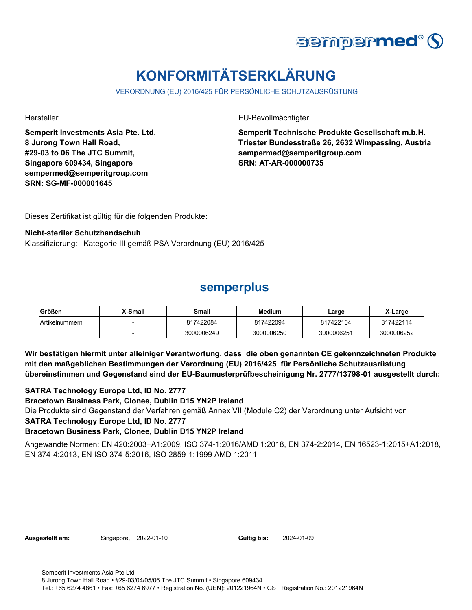

# **KONFORMITÄTSERKLÄRUNG**

VERORDNUNG (EU) 2016/425 FÜR PERSÖNLICHE SCHUTZAUSRÜSTUNG

**Semperit Investments Asia Pte. Ltd. 8 Jurong Town Hall Road, #29-03 to 06 The JTC Summit, Singapore 609434, Singapore sempermed@semperitgroup.com SRN: SG-MF-000001645**

Hersteller EU-Bevollmächtigter

**Semperit Technische Produkte Gesellschaft m.b.H. Triester Bundesstraße 26, 2632 Wimpassing, Austria sempermed@semperitgroup.com SRN: AT-AR-000000735**

Dieses Zertifikat ist gültig für die folgenden Produkte:

### **Nicht-steriler Schutzhandschuh**

Klassifizierung: Kategorie III gemäß PSA Verordnung (EU) 2016/425

## **semperplus**

| Größen         | <b>X-Small</b> | Small      | <b>Medium</b> | Large      | X-Large    |
|----------------|----------------|------------|---------------|------------|------------|
| Artikelnummern |                | 817422084  | 817422094     | 817422104  | 817422114  |
|                |                | 3000006249 | 3000006250    | 3000006251 | 3000006252 |

**Wir bestätigen hiermit unter alleiniger Verantwortung, dass die oben genannten CE gekennzeichneten Produkte mit den maßgeblichen Bestimmungen der Verordnung (EU) 2016/425 für Persönliche Schutzausrüstung übereinstimmen und Gegenstand sind der EU-Baumusterprüfbescheinigung Nr. 2777/13798-01 ausgestellt durch:**

### **SATRA Technology Europe Ltd, ID No. 2777**

**Bracetown Business Park, Clonee, Dublin D15 YN2P Ireland**

Die Produkte sind Gegenstand der Verfahren gemäß Annex VII (Module C2) der Verordnung unter Aufsicht von

### **SATRA Technology Europe Ltd, ID No. 2777**

### **Bracetown Business Park, Clonee, Dublin D15 YN2P Ireland**

Angewandte Normen: EN 420:2003+A1:2009, ISO 374-1:2016/AMD 1:2018, EN 374-2:2014, EN 16523-1:2015+A1:2018, EN 374-4:2013, EN ISO 374-5:2016, ISO 2859-1:1999 AMD 1:2011

| Ausgestellt am: |  |
|-----------------|--|
|-----------------|--|

 $Singapore, 2022-01-10$ 

Gültig bis: 2024-01-09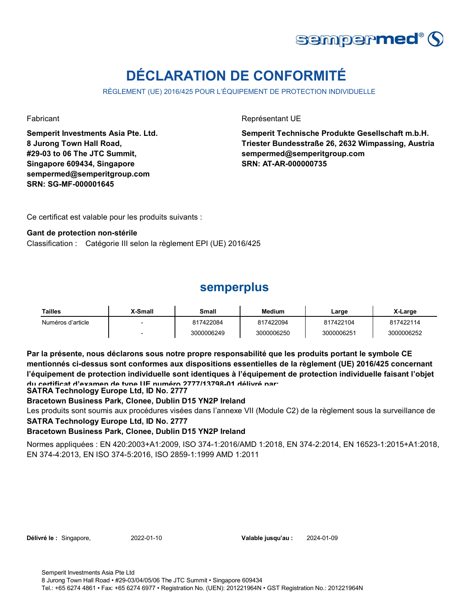

# **DÉCLARATION DE CONFORMITÉ**

RÈGLEMENT (UE) 2016/425 POUR L'ÉQUIPEMENT DE PROTECTION INDIVIDUELLE

**Semperit Investments Asia Pte. Ltd. 8 Jurong Town Hall Road, #29-03 to 06 The JTC Summit, Singapore 609434, Singapore sempermed@semperitgroup.com SRN: SG-MF-000001645**

Fabricant **Exercise Exercise Exercise Exercise Exercise Exercise Exercise Exercise Exercise Exercise Exercise Exercise Exercise Exercise Exercise Exercise Exercise Exercise Exercise Exercise Exercise Exercise Exercise Exer** 

**Semperit Technische Produkte Gesellschaft m.b.H. Triester Bundesstraße 26, 2632 Wimpassing, Austria sempermed@semperitgroup.com SRN: AT-AR-000000735**

Ce certificat est valable pour les produits suivants :

### **Gant de protection non-stérile**

Classification : Catégorie III selon la règlement EPI (UE) 2016/425

## **semperplus**

| Tailles           | X-Small | Small      | <b>Medium</b> | Large      | X-Large    |
|-------------------|---------|------------|---------------|------------|------------|
| Numéros d'article |         | 817422084  | 817422094     | 817422104  | 817422114  |
|                   |         | 3000006249 | 3000006250    | 3000006251 | 3000006252 |

**Par la présente, nous déclarons sous notre propre responsabilité que les produits portant le symbole CE mentionnés ci-dessus sont conformes aux dispositions essentielles de la règlement (UE) 2016/425 concernant l'équipement de protection individuelle sont identiques à l'équipement de protection individuelle faisant l'objet du certificat d'examen de type UE numéro 2777/13798-01 délivré par:**

**SATRA Technology Europe Ltd, ID No. 2777**

### **Bracetown Business Park, Clonee, Dublin D15 YN2P Ireland**

Les produits sont soumis aux procédures visées dans l'annexe VII (Module C2) de la règlement sous la surveillance de **SATRA Technology Europe Ltd, ID No. 2777**

### **Bracetown Business Park, Clonee, Dublin D15 YN2P Ireland**

Normes appliquées : EN 420:2003+A1:2009, ISO 374-1:2016/AMD 1:2018, EN 374-2:2014, EN 16523-1:2015+A1:2018, EN 374-4:2013, EN ISO 374-5:2016, ISO 2859-1:1999 AMD 1:2011

|  | <b>Délivré le : Singapore,</b> |
|--|--------------------------------|
|--|--------------------------------|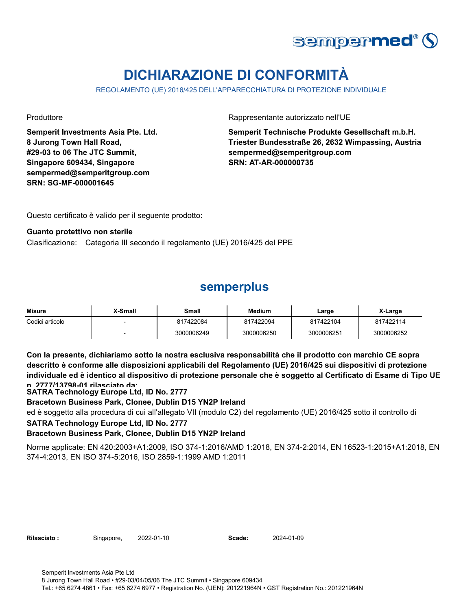

# **DICHIARAZIONE DI CONFORMITÀ**

REGOLAMENTO (UE) 2016/425 DELL'APPARECCHIATURA DI PROTEZIONE INDIVIDUALE

**Semperit Investments Asia Pte. Ltd. 8 Jurong Town Hall Road, #29-03 to 06 The JTC Summit, Singapore 609434, Singapore sempermed@semperitgroup.com SRN: SG-MF-000001645**

Produttore **Rappresentante autorizzato nell'UE** 

**Semperit Technische Produkte Gesellschaft m.b.H. Triester Bundesstraße 26, 2632 Wimpassing, Austria sempermed@semperitgroup.com SRN: AT-AR-000000735**

Questo certificato è valido per il seguente prodotto:

#### **Guanto protettivo non sterile**

Clasificazione: Categoria III secondo il regolamento (UE) 2016/425 del PPE

## **semperplus**

| Misure          | X-Small | Small      | Medium     | Large      | X-Large    |
|-----------------|---------|------------|------------|------------|------------|
| Codici articolo |         | 817422084  | 817422094  | 817422104  | 817422114  |
|                 |         | 3000006249 | 3000006250 | 3000006251 | 3000006252 |

**Con la presente, dichiariamo sotto la nostra esclusiva responsabilità che il prodotto con marchio CE sopra descritto è conforme alle disposizioni applicabili del Regolamento (UE) 2016/425 sui dispositivi di protezione individuale ed è identico al dispositivo di protezione personale che è soggetto al Certificato di Esame di Tipo UE n 2777/13798-01 rilasciato da:**

**SATRA Technology Europe Ltd, ID No. 2777**

**Bracetown Business Park, Clonee, Dublin D15 YN2P Ireland**

ed è soggetto alla procedura di cui all'allegato VII (modulo C2) del regolamento (UE) 2016/425 sotto il controllo di

### **SATRA Technology Europe Ltd, ID No. 2777**

### **Bracetown Business Park, Clonee, Dublin D15 YN2P Ireland**

Norme applicate: EN 420:2003+A1:2009, ISO 374-1:2016/AMD 1:2018, EN 374-2:2014, EN 16523-1:2015+A1:2018, EN 374-4:2013, EN ISO 374-5:2016, ISO 2859-1:1999 AMD 1:2011

Rilasciato: Singapore, 2022-01-10 **Scade:**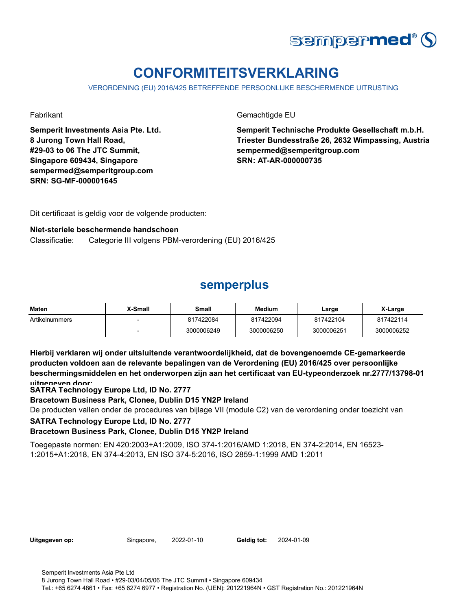

# **CONFORMITEITSVERKLARING**

VERORDENING (EU) 2016/425 BETREFFENDE PERSOONLIJKE BESCHERMENDE UITRUSTING

**Semperit Investments Asia Pte. Ltd. 8 Jurong Town Hall Road, #29-03 to 06 The JTC Summit, Singapore 609434, Singapore sempermed@semperitgroup.com SRN: SG-MF-000001645**

Fabrikant Gemachtigde EU

**Semperit Technische Produkte Gesellschaft m.b.H. Triester Bundesstraße 26, 2632 Wimpassing, Austria sempermed@semperitgroup.com SRN: AT-AR-000000735**

Dit certificaat is geldig voor de volgende producten:

#### **Niet-steriele beschermende handschoen**

Classificatie: Categorie III volgens PBM-verordening (EU) 2016/425

## **semperplus**

| Maten          | X-Small                  | Small      | <b>Medium</b> | Large      | X-Large    |
|----------------|--------------------------|------------|---------------|------------|------------|
| Artikelnummers | $\overline{\phantom{0}}$ | 817422084  | 817422094     | 817422104  | 817422114  |
|                | $\overline{\phantom{0}}$ | 3000006249 | 3000006250    | 3000006251 | 3000006252 |

**Hierbij verklaren wij onder uitsluitende verantwoordelijkheid, dat de bovengenoemde CE-gemarkeerde producten voldoen aan de relevante bepalingen van de Verordening (EU) 2016/425 over persoonlijke beschermingsmiddelen en het onderworpen zijn aan het certificaat van EU-typeonderzoek nr.2777/13798-01 uitgegeven door:**

**SATRA Technology Europe Ltd, ID No. 2777**

**Bracetown Business Park, Clonee, Dublin D15 YN2P Ireland**

De producten vallen onder de procedures van bijlage VII (module C2) van de verordening onder toezicht van

### **SATRA Technology Europe Ltd, ID No. 2777**

### **Bracetown Business Park, Clonee, Dublin D15 YN2P Ireland**

Toegepaste normen: EN 420:2003+A1:2009, ISO 374-1:2016/AMD 1:2018, EN 374-2:2014, EN 16523- 1:2015+A1:2018, EN 374-4:2013, EN ISO 374-5:2016, ISO 2859-1:1999 AMD 1:2011

| Uitgegeven op: |  |
|----------------|--|
|----------------|--|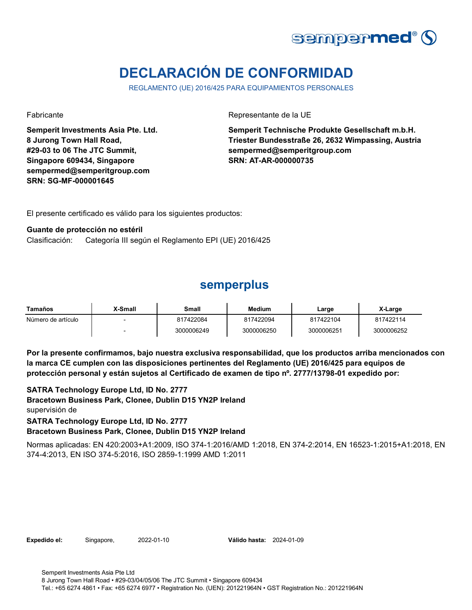

# **DECLARACIÓN DE CONFORMIDAD**

REGLAMENTO (UE) 2016/425 PARA EQUIPAMIENTOS PERSONALES

**Semperit Investments Asia Pte. Ltd. 8 Jurong Town Hall Road, #29-03 to 06 The JTC Summit, Singapore 609434, Singapore sempermed@semperitgroup.com SRN: SG-MF-000001645**

Fabricante Representante de la UE

**Semperit Technische Produkte Gesellschaft m.b.H. Triester Bundesstraße 26, 2632 Wimpassing, Austria sempermed@semperitgroup.com SRN: AT-AR-000000735**

El presente certificado es válido para los siguientes productos:

#### **Guante de protección no estéril**

Clasificación: Categoría III según el Reglamento EPI (UE) 2016/425

### **semperplus**

| Tamaños            | X-Small | Small      | <b>Medium</b> | Large      | X-Large    |
|--------------------|---------|------------|---------------|------------|------------|
| Número de artículo |         | 817422084  | 817422094     | 817422104  | 817422114  |
|                    |         | 3000006249 | 3000006250    | 3000006251 | 3000006252 |

**Por la presente confirmamos, bajo nuestra exclusiva responsabilidad, que los productos arriba mencionados con la marca CE cumplen con las disposiciones pertinentes del Reglamento (UE) 2016/425 para equipos de protección personal y están sujetos al Certificado de examen de tipo nº. 2777/13798-01 expedido por:**

 **Bracetown Business Park, Clonee, Dublin D15 YN2P Ireland** supervisión de **SATRA Technology Europe Ltd, ID No. 2777**

**SATRA Technology Europe Ltd, ID No. 2777**

**Bracetown Business Park, Clonee, Dublin D15 YN2P Ireland**

Normas aplicadas: EN 420:2003+A1:2009, ISO 374-1:2016/AMD 1:2018, EN 374-2:2014, EN 16523-1:2015+A1:2018, EN 374-4:2013, EN ISO 374-5:2016, ISO 2859-1:1999 AMD 1:2011

**Expedido el:** Singapore, **Válido hasta:** 2022-01-10 2024-01-09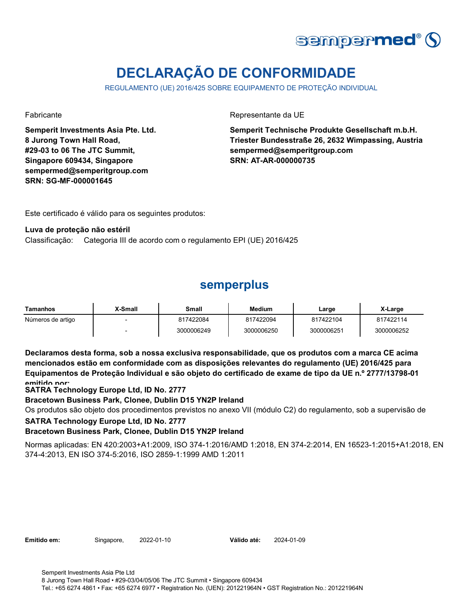

# **DECLARAÇÃO DE CONFORMIDADE**

REGULAMENTO (UE) 2016/425 SOBRE EQUIPAMENTO DE PROTEÇÃO INDIVIDUAL

**Semperit Investments Asia Pte. Ltd. 8 Jurong Town Hall Road, #29-03 to 06 The JTC Summit, Singapore 609434, Singapore sempermed@semperitgroup.com SRN: SG-MF-000001645**

Fabricante Representante da UE

**Semperit Technische Produkte Gesellschaft m.b.H. Triester Bundesstraße 26, 2632 Wimpassing, Austria sempermed@semperitgroup.com SRN: AT-AR-000000735**

Este certificado é válido para os seguintes produtos:

### **Luva de proteção não estéril**

Classificação: Categoria III de acordo com o regulamento EPI (UE) 2016/425

## **semperplus**

| Tamanhos          | X-Small | Small      | <b>Medium</b> | ∟arge      | X-Large    |
|-------------------|---------|------------|---------------|------------|------------|
| Números de artigo |         | 817422084  | 817422094     | 817422104  | 817422114  |
|                   |         | 3000006249 | 3000006250    | 3000006251 | 3000006252 |

**Declaramos desta forma, sob a nossa exclusiva responsabilidade, que os produtos com a marca CE acima mencionados estão em conformidade com as disposições relevantes do regulamento (UE) 2016/425 para Equipamentos de Proteção Individual e são objeto do certificado de exame de tipo da UE n.º 2777/13798-01 emitido por:**

**SATRA Technology Europe Ltd, ID No. 2777**

**Bracetown Business Park, Clonee, Dublin D15 YN2P Ireland**

Os produtos são objeto dos procedimentos previstos no anexo VII (módulo C2) do regulamento, sob a supervisão de

### **SATRA Technology Europe Ltd, ID No. 2777**

### **Bracetown Business Park, Clonee, Dublin D15 YN2P Ireland**

Normas aplicadas: EN 420:2003+A1:2009, ISO 374-1:2016/AMD 1:2018, EN 374-2:2014, EN 16523-1:2015+A1:2018, EN 374-4:2013, EN ISO 374-5:2016, ISO 2859-1:1999 AMD 1:2011

**Emitido em:** Singapore, 2022-01-10

Válido até: 2024-01-09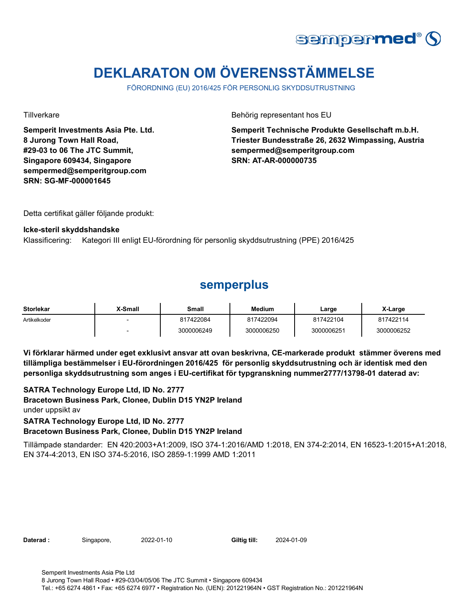

# **DEKLARATON OM ÖVERENSSTÄMMELSE**

FÖRORDNING (EU) 2016/425 FÖR PERSONLIG SKYDDSUTRUSTNING

**Semperit Investments Asia Pte. Ltd. 8 Jurong Town Hall Road, #29-03 to 06 The JTC Summit, Singapore 609434, Singapore sempermed@semperitgroup.com SRN: SG-MF-000001645**

Tillverkare Behörig representant hos EU

**Semperit Technische Produkte Gesellschaft m.b.H. Triester Bundesstraße 26, 2632 Wimpassing, Austria sempermed@semperitgroup.com SRN: AT-AR-000000735**

Detta certifikat gäller följande produkt:

### **Icke-steril skyddshandske**

Klassificering: Kategori III enligt EU-förordning för personlig skyddsutrustning (PPE) 2016/425

### **semperplus**

| <b>Storlekar</b> | X-Small | Small      | <b>Medium</b> | Large      | X-Large    |
|------------------|---------|------------|---------------|------------|------------|
| Artikelkoder     |         | 817422084  | 817422094     | 817422104  | 817422114  |
|                  |         | 3000006249 | 3000006250    | 3000006251 | 3000006252 |

**Vi förklarar härmed under eget exklusivt ansvar att ovan beskrivna, CE-markerade produkt stämmer överens med tillämpliga bestämmelser i EU-förordningen 2016/425 för personlig skyddsutrustning och är identisk med den personliga skyddsutrustning som anges i EU-certifikat för typgranskning nummer2777/13798-01 daterad av:**

 **Bracetown Business Park, Clonee, Dublin D15 YN2P Ireland** under uppsikt av **SATRA Technology Europe Ltd, ID No. 2777**

**SATRA Technology Europe Ltd, ID No. 2777 Bracetown Business Park, Clonee, Dublin D15 YN2P Ireland**

Tillämpade standarder: EN 420:2003+A1:2009, ISO 374-1:2016/AMD 1:2018, EN 374-2:2014, EN 16523-1:2015+A1:2018, EN 374-4:2013, EN ISO 374-5:2016, ISO 2859-1:1999 AMD 1:2011

Daterad : Singapore, 2022-01-10 **Giltig till:**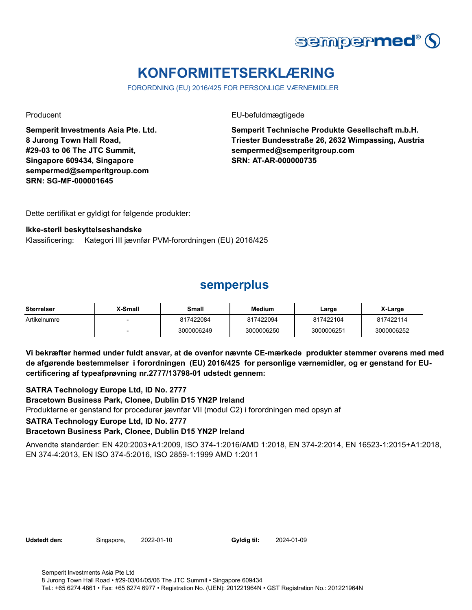

# **KONFORMITETSERKLÆRING**

FORORDNING (EU) 2016/425 FOR PERSONLIGE VÆRNEMIDLER

**Semperit Investments Asia Pte. Ltd. 8 Jurong Town Hall Road, #29-03 to 06 The JTC Summit, Singapore 609434, Singapore sempermed@semperitgroup.com SRN: SG-MF-000001645**

Producent **EU-befuldmægtigede** 

**Semperit Technische Produkte Gesellschaft m.b.H. Triester Bundesstraße 26, 2632 Wimpassing, Austria sempermed@semperitgroup.com SRN: AT-AR-000000735**

Dette certifikat er gyldigt for følgende produkter:

#### **Ikke-steril beskyttelseshandske**

Klassificering: Kategori III jævnfør PVM-forordningen (EU) 2016/425

## **semperplus**

| <b>Størrelser</b> | X-Small | Small      | <b>Medium</b> | Large      | X-Large    |
|-------------------|---------|------------|---------------|------------|------------|
| Artikelnumre      |         | 817422084  | 817422094     | 817422104  | 817422114  |
|                   |         | 3000006249 | 3000006250    | 3000006251 | 3000006252 |

**Vi bekræfter hermed under fuldt ansvar, at de ovenfor nævnte CE-mærkede produkter stemmer overens med med de afgørende bestemmelser i forordningen (EU) 2016/425 for personlige værnemidler, og er genstand for EUcertificering af typeafprøvning nr.2777/13798-01 udstedt gennem:**

**SATRA Technology Europe Ltd, ID No. 2777**

**Bracetown Business Park, Clonee, Dublin D15 YN2P Ireland**

Produkterne er genstand for procedurer jævnfør VII (modul C2) i forordningen med opsyn af

### **SATRA Technology Europe Ltd, ID No. 2777**

### **Bracetown Business Park, Clonee, Dublin D15 YN2P Ireland**

Anvendte standarder: EN 420:2003+A1:2009, ISO 374-1:2016/AMD 1:2018, EN 374-2:2014, EN 16523-1:2015+A1:2018, EN 374-4:2013, EN ISO 374-5:2016, ISO 2859-1:1999 AMD 1:2011

**Udstedt den:** Singapore, **Gyldig til:**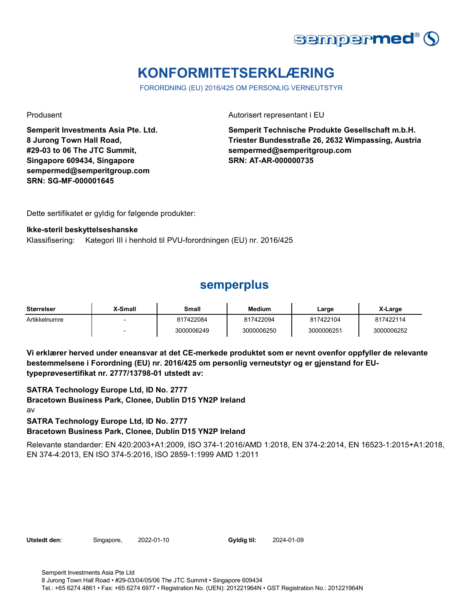

# **KONFORMITETSERKLÆRING**

FORORDNING (EU) 2016/425 OM PERSONLIG VERNEUTSTYR

**Semperit Investments Asia Pte. Ltd. 8 Jurong Town Hall Road, #29-03 to 06 The JTC Summit, Singapore 609434, Singapore sempermed@semperitgroup.com SRN: SG-MF-000001645**

Produsent **Autorisert representant i EU** 

**Semperit Technische Produkte Gesellschaft m.b.H. Triester Bundesstraße 26, 2632 Wimpassing, Austria sempermed@semperitgroup.com SRN: AT-AR-000000735**

Dette sertifikatet er gyldig for følgende produkter:

#### **Ikke-steril beskyttelseshanske**

Klassifisering: Kategori III i henhold til PVU-forordningen (EU) nr. 2016/425

## **semperplus**

| Størrelser    | X-Small | Small      | <b>Medium</b> | Large      | X-Large    |
|---------------|---------|------------|---------------|------------|------------|
| Artikkelnumre |         | 817422084  | 817422094     | 817422104  | 817422114  |
|               |         | 3000006249 | 3000006250    | 3000006251 | 3000006252 |

**Vi erklærer herved under eneansvar at det CE-merkede produktet som er nevnt ovenfor oppfyller de relevante bestemmelsene i Forordning (EU) nr. 2016/425 om personlig verneutstyr og er gjenstand for EUtypeprøvesertifikat nr. 2777/13798-01 utstedt av:**

 **Bracetown Business Park, Clonee, Dublin D15 YN2P Ireland** av **SATRA Technology Europe Ltd, ID No. 2777**

**SATRA Technology Europe Ltd, ID No. 2777 Bracetown Business Park, Clonee, Dublin D15 YN2P Ireland**

Relevante standarder: EN 420:2003+A1:2009, ISO 374-1:2016/AMD 1:2018, EN 374-2:2014, EN 16523-1:2015+A1:2018, EN 374-4:2013, EN ISO 374-5:2016, ISO 2859-1:1999 AMD 1:2011

Utstedt den: Singapore, 2022-01-10 Gyldig til: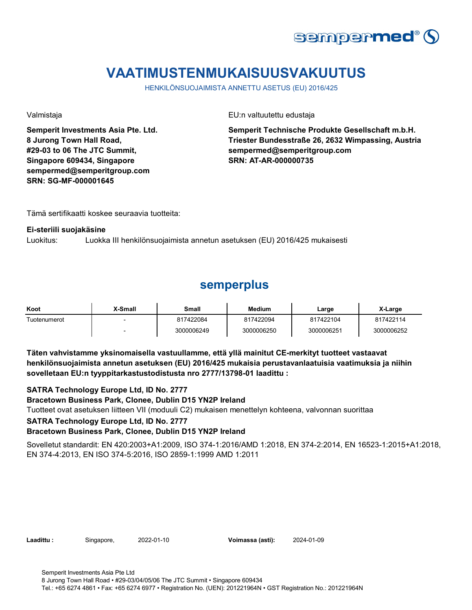

# **VAATIMUSTENMUKAISUUSVAKUUTUS**

HENKILÖNSUOJAIMISTA ANNETTU ASETUS (EU) 2016/425

**Semperit Investments Asia Pte. Ltd. 8 Jurong Town Hall Road, #29-03 to 06 The JTC Summit, Singapore 609434, Singapore sempermed@semperitgroup.com SRN: SG-MF-000001645**

Valmistaja EU:n valtuutettu edustaja

**Semperit Technische Produkte Gesellschaft m.b.H. Triester Bundesstraße 26, 2632 Wimpassing, Austria sempermed@semperitgroup.com SRN: AT-AR-000000735**

Tämä sertifikaatti koskee seuraavia tuotteita:

#### **Ei-steriili suojakäsine**

Luokitus: Luokka III henkilönsuojaimista annetun asetuksen (EU) 2016/425 mukaisesti

### **semperplus**

| Koot         | X-Small                  | Small      | <b>Medium</b> | Large      | X-Large    |
|--------------|--------------------------|------------|---------------|------------|------------|
| Tuotenumerot |                          | 817422084  | 817422094     | 817422104  | 817422114  |
|              | $\overline{\phantom{0}}$ | 3000006249 | 3000006250    | 3000006251 | 3000006252 |

**Täten vahvistamme yksinomaisella vastuullamme, että yllä mainitut CE-merkityt tuotteet vastaavat henkilönsuojaimista annetun asetuksen (EU) 2016/425 mukaisia perustavanlaatuisia vaatimuksia ja niihin sovelletaan EU:n tyyppitarkastustodistusta nro 2777/13798-01 laadittu :**

### **SATRA Technology Europe Ltd, ID No. 2777**

**Bracetown Business Park, Clonee, Dublin D15 YN2P Ireland**

Tuotteet ovat asetuksen liitteen VII (moduuli C2) mukaisen menettelyn kohteena, valvonnan suorittaa

### **SATRA Technology Europe Ltd, ID No. 2777**

### **Bracetown Business Park, Clonee, Dublin D15 YN2P Ireland**

Sovelletut standardit: EN 420:2003+A1:2009, ISO 374-1:2016/AMD 1:2018, EN 374-2:2014, EN 16523-1:2015+A1:2018, EN 374-4:2013, EN ISO 374-5:2016, ISO 2859-1:1999 AMD 1:2011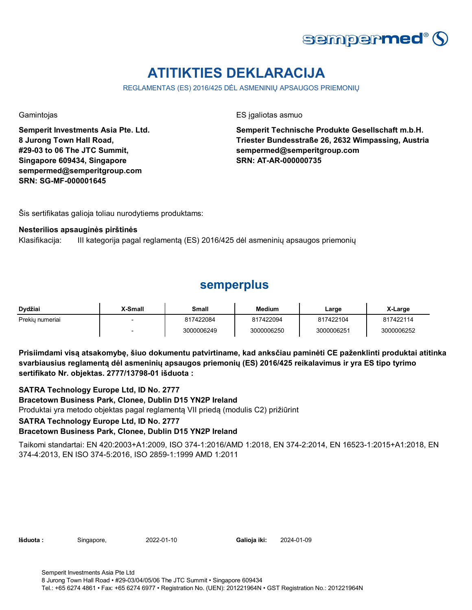

# **ATITIKTIES DEKLARACIJA**

REGLAMENTAS (ES) 2016/425 DĖL ASMENINIŲ APSAUGOS PRIEMONIŲ

**Semperit Investments Asia Pte. Ltd. 8 Jurong Town Hall Road, #29-03 to 06 The JTC Summit, Singapore 609434, Singapore sempermed@semperitgroup.com SRN: SG-MF-000001645**

Gamintojas ES įgaliotas asmuo

**Semperit Technische Produkte Gesellschaft m.b.H. Triester Bundesstraße 26, 2632 Wimpassing, Austria sempermed@semperitgroup.com SRN: AT-AR-000000735**

Šis sertifikatas galioja toliau nurodytiems produktams:

### **Nesterilios apsauginės pirštinės**

Klasifikacija: III kategorija pagal reglamentą (ES) 2016/425 dėl asmeninių apsaugos priemonių

### **semperplus**

| Dydžiai         | X-Small | Small      | <b>Medium</b> | Large      | X-Large    |
|-----------------|---------|------------|---------------|------------|------------|
| Prekiu numeriai |         | 817422084  | 817422094     | 817422104  | 817422114  |
|                 |         | 3000006249 | 3000006250    | 3000006251 | 3000006252 |

**Prisiimdami visą atsakomybę, šiuo dokumentu patvirtiname, kad anksčiau paminėti CE paženklinti produktai atitinka svarbiausius reglamentą dėl asmeninių apsaugos priemonių (ES) 2016/425 reikalavimus ir yra ES tipo tyrimo sertifikato Nr. objektas. 2777/13798-01 išduota :**

**SATRA Technology Europe Ltd, ID No. 2777**

**Bracetown Business Park, Clonee, Dublin D15 YN2P Ireland**

Produktai yra metodo objektas pagal reglamentą VII priedą (modulis C2) prižiūrint

#### **SATRA Technology Europe Ltd, ID No. 2777**

### **Bracetown Business Park, Clonee, Dublin D15 YN2P Ireland**

Taikomi standartai: EN 420:2003+A1:2009, ISO 374-1:2016/AMD 1:2018, EN 374-2:2014, EN 16523-1:2015+A1:2018, EN 374-4:2013, EN ISO 374-5:2016, ISO 2859-1:1999 AMD 1:2011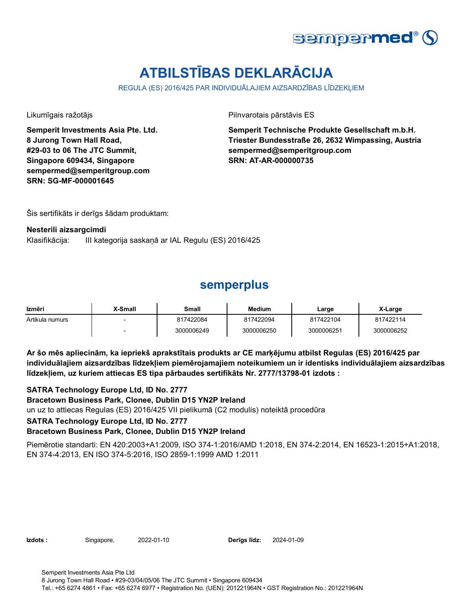

# **ATBILSTĪBAS DEKLARĀCIJA**

REGULA (ES) 2016/425 PAR INDIVIDUĀLAJIEM AIZSARDZĪBAS LĪDZEKĻIEM

**Semperit Investments Asia Pte. Ltd. 8 Jurong Town Hall Road, #29-03 to 06 The JTC Summit, Singapore 609434, Singapore sempermed@semperitgroup.com SRN: SG-MF-000001645**

Likumīgais ražotājs **Pilnvarotais pārstāvis ES** 

**Semperit Technische Produkte Gesellschaft m.b.H. Triester Bundesstraße 26, 2632 Wimpassing, Austria sempermed@semperitgroup.com SRN: AT-AR-000000735**

Šis sertifikāts ir derīgs šādam produktam:

#### **Nesterili aizsargcimdi**

Klasifikācija: III kategorija saskaņā ar IAL Regulu (ES) 2016/425

### **semperplus**

| Izmēri          | X-Small                  | Small      | <b>Medium</b> | Large      | X-Large    |
|-----------------|--------------------------|------------|---------------|------------|------------|
| Artikula numurs | $\overline{\phantom{0}}$ | 817422084  | 817422094     | 817422104  | 817422114  |
|                 |                          | 3000006249 | 3000006250    | 3000006251 | 3000006252 |

**Ar šo mēs apliecinām, ka iepriekš aprakstītais produkts ar CE marķējumu atbilst Regulas (ES) 2016/425 par individuālajiem aizsardzības līdzekļiem piemērojamajiem noteikumiem un ir identisks individuālajiem aizsardzības līdzekļiem, uz kuriem attiecas ES tipa pārbaudes sertifikāts Nr. 2777/13798-01 izdots :**

**SATRA Technology Europe Ltd, ID No. 2777**

**Bracetown Business Park, Clonee, Dublin D15 YN2P Ireland**

un uz to attiecas Regulas (ES) 2016/425 VII pielikumā (C2 modulis) noteiktā procedūra

### **SATRA Technology Europe Ltd, ID No. 2777**

### **Bracetown Business Park, Clonee, Dublin D15 YN2P Ireland**

Piemērotie standarti: EN 420:2003+A1:2009, ISO 374-1:2016/AMD 1:2018, EN 374-2:2014, EN 16523-1:2015+A1:2018, EN 374-4:2013, EN ISO 374-5:2016, ISO 2859-1:1999 AMD 1:2011

**Izdots :** Singapore, 2022-01-10 **Derīgs līdz:** 2024-01-09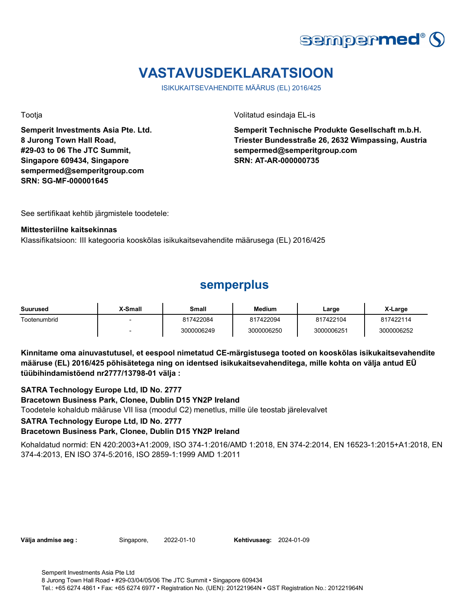

# **VASTAVUSDEKLARATSIOON**

ISIKUKAITSEVAHENDITE MÄÄRUS (EL) 2016/425

**Semperit Investments Asia Pte. Ltd. 8 Jurong Town Hall Road, #29-03 to 06 The JTC Summit, Singapore 609434, Singapore sempermed@semperitgroup.com SRN: SG-MF-000001645**

Tootja Volitatud esindaja EL-is

**Semperit Technische Produkte Gesellschaft m.b.H. Triester Bundesstraße 26, 2632 Wimpassing, Austria sempermed@semperitgroup.com SRN: AT-AR-000000735**

See sertifikaat kehtib järgmistele toodetele:

#### **Mittesteriilne kaitsekinnas**

Klassifikatsioon: III kategooria kooskõlas isikukaitsevahendite määrusega (EL) 2016/425

## **semperplus**

| Suurused     | X-Small | Small      | <b>Medium</b> | Large      | X-Large    |
|--------------|---------|------------|---------------|------------|------------|
| Tootenumbrid |         | 817422084  | 817422094     | 817422104  | 817422114  |
|              |         | 3000006249 | 3000006250    | 3000006251 | 3000006252 |

**Kinnitame oma ainuvastutusel, et eespool nimetatud CE-märgistusega tooted on kooskõlas isikukaitsevahendite määruse (EL) 2016/425 põhisätetega ning on identsed isikukaitsevahenditega, mille kohta on välja antud EÜ tüübihindamistõend nr2777/13798-01 välja :**

**SATRA Technology Europe Ltd, ID No. 2777**

**Bracetown Business Park, Clonee, Dublin D15 YN2P Ireland**

Toodetele kohaldub määruse VII lisa (moodul C2) menetlus, mille üle teostab järelevalvet

#### **SATRA Technology Europe Ltd, ID No. 2777**

### **Bracetown Business Park, Clonee, Dublin D15 YN2P Ireland**

Kohaldatud normid: EN 420:2003+A1:2009, ISO 374-1:2016/AMD 1:2018, EN 374-2:2014, EN 16523-1:2015+A1:2018, EN 374-4:2013, EN ISO 374-5:2016, ISO 2859-1:1999 AMD 1:2011

**Välja andmise aeg :** Singapore, 2022-01-10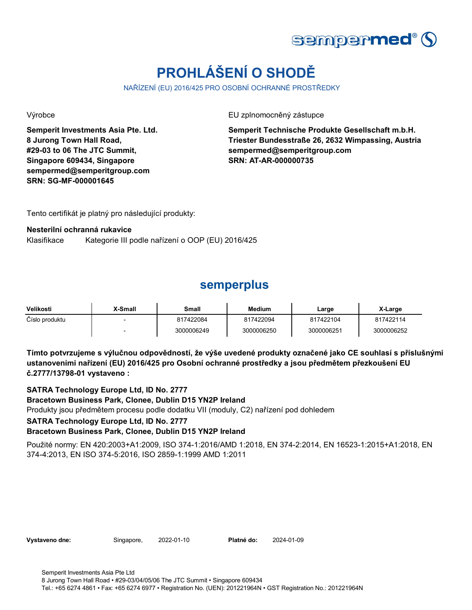

# **PROHLÁŠENÍ O SHODĚ**

NAŘÍZENÍ (EU) 2016/425 PRO OSOBNÍ OCHRANNÉ PROSTŘEDKY

**Semperit Investments Asia Pte. Ltd. 8 Jurong Town Hall Road, #29-03 to 06 The JTC Summit, Singapore 609434, Singapore sempermed@semperitgroup.com SRN: SG-MF-000001645**

Výrobce EU zplnomocněný zástupce

**Semperit Technische Produkte Gesellschaft m.b.H. Triester Bundesstraße 26, 2632 Wimpassing, Austria sempermed@semperitgroup.com SRN: AT-AR-000000735**

Tento certifikát je platný pro následující produkty:

### **Nesterilní ochranná rukavice**

Klasifikace Kategorie III podle nařízení o OOP (EU) 2016/425

### **semperplus**

| Velikosti      | X-Small | <b>Small</b> | <b>Medium</b> | Large      | X-Large    |
|----------------|---------|--------------|---------------|------------|------------|
| Číslo produktu |         | 817422084    | 817422094     | 817422104  | 817422114  |
|                |         | 3000006249   | 3000006250    | 3000006251 | 3000006252 |

**Tímto potvrzujeme s výlučnou odpovědností, že výše uvedené produkty označené jako CE souhlasí s příslušnými ustanoveními nařízení (EU) 2016/425 pro Osobní ochranné prostředky a jsou předmětem přezkoušení EU č.2777/13798-01 vystaveno :**

**SATRA Technology Europe Ltd, ID No. 2777**

**Bracetown Business Park, Clonee, Dublin D15 YN2P Ireland**

Produkty jsou předmětem procesu podle dodatku VII (moduly, C2) nařízení pod dohledem

### **SATRA Technology Europe Ltd, ID No. 2777**

### **Bracetown Business Park, Clonee, Dublin D15 YN2P Ireland**

Použité normy: EN 420:2003+A1:2009, ISO 374-1:2016/AMD 1:2018, EN 374-2:2014, EN 16523-1:2015+A1:2018, EN 374-4:2013, EN ISO 374-5:2016, ISO 2859-1:1999 AMD 1:2011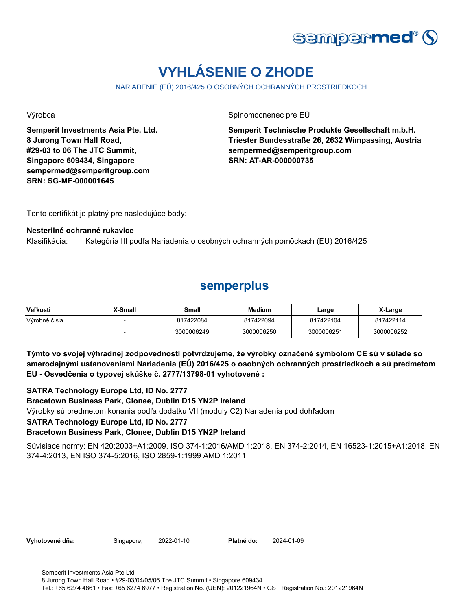

# **VYHLÁSENIE O ZHODE**

NARIADENIE (EÚ) 2016/425 O OSOBNÝCH OCHRANNÝCH PROSTRIEDKOCH

**Semperit Investments Asia Pte. Ltd. 8 Jurong Town Hall Road, #29-03 to 06 The JTC Summit, Singapore 609434, Singapore sempermed@semperitgroup.com SRN: SG-MF-000001645**

Výrobca **Splnomocnenec pre EÚ** 

**Semperit Technische Produkte Gesellschaft m.b.H. Triester Bundesstraße 26, 2632 Wimpassing, Austria sempermed@semperitgroup.com SRN: AT-AR-000000735**

Tento certifikát je platný pre nasledujúce body:

### **Nesterilné ochranné rukavice**

Klasifikácia: Kategória III podľa Nariadenia o osobných ochranných pomôckach (EU) 2016/425

## **semperplus**

| Veľkosti      | X-Small | Small      | <b>Medium</b> | Large      | X-Large    |
|---------------|---------|------------|---------------|------------|------------|
| Výrobné čísla |         | 817422084  | 817422094     | 817422104  | 817422114  |
|               |         | 3000006249 | 3000006250    | 3000006251 | 3000006252 |

**Týmto vo svojej výhradnej zodpovednosti potvrdzujeme, že výrobky označené symbolom CE sú v súlade so smerodajnými ustanoveniami Nariadenia (EÚ) 2016/425 o osobných ochranných prostriedkoch a sú predmetom EU - Osvedčenia o typovej skúške č. 2777/13798-01 vyhotovené :**

**SATRA Technology Europe Ltd, ID No. 2777**

**Bracetown Business Park, Clonee, Dublin D15 YN2P Ireland**

Výrobky sú predmetom konania podľa dodatku VII (moduly C2) Nariadenia pod dohľadom

### **SATRA Technology Europe Ltd, ID No. 2777**

### **Bracetown Business Park, Clonee, Dublin D15 YN2P Ireland**

Súvisiace normy: EN 420:2003+A1:2009, ISO 374-1:2016/AMD 1:2018, EN 374-2:2014, EN 16523-1:2015+A1:2018, EN 374-4:2013, EN ISO 374-5:2016, ISO 2859-1:1999 AMD 1:2011

Vyhotovené dňa: Singapore, 2022-01-10 Platné do: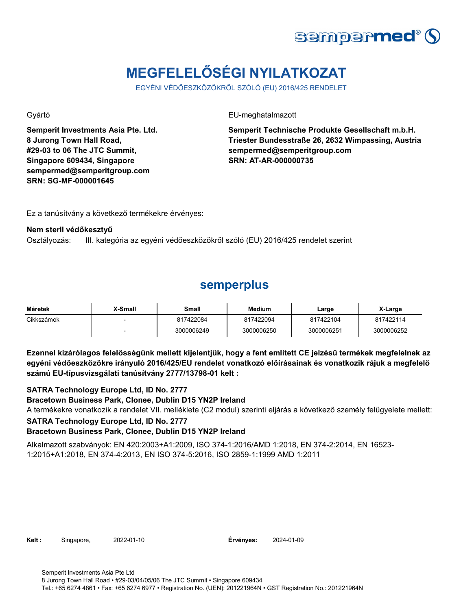

# **MEGFELELŐSÉGI NYILATKOZAT**

EGYÉNI VÉDŐESZKÖZÖKRŐL SZÓLÓ (EU) 2016/425 RENDELET

**Semperit Investments Asia Pte. Ltd. 8 Jurong Town Hall Road, #29-03 to 06 The JTC Summit, Singapore 609434, Singapore sempermed@semperitgroup.com SRN: SG-MF-000001645**

Gyártó EU-meghatalmazott

**Semperit Technische Produkte Gesellschaft m.b.H. Triester Bundesstraße 26, 2632 Wimpassing, Austria sempermed@semperitgroup.com SRN: AT-AR-000000735**

Ez a tanúsítvány a következő termékekre érvényes:

#### **Nem steril védőkesztyű**

Osztályozás: III. kategória az egyéni védőeszközökről szóló (EU) 2016/425 rendelet szerint

### **semperplus**

| Méretek    | X-Small                  | Small      | <b>Medium</b> | Large      | X-Large    |
|------------|--------------------------|------------|---------------|------------|------------|
| Cikkszámok | $\overline{\phantom{0}}$ | 817422084  | 817422094     | 817422104  | 817422114  |
|            |                          | 3000006249 | 3000006250    | 3000006251 | 3000006252 |

**Ezennel kizárólagos felelősségünk mellett kijelentjük, hogy a fent említett CE jelzésű termékek megfelelnek az egyéni védőeszközökre irányuló 2016/425/EU rendelet vonatkozó előírásainak és vonatkozik rájuk a megfelelő számú EU-típusvizsgálati tanúsítvány 2777/13798-01 kelt :**

**SATRA Technology Europe Ltd, ID No. 2777**

**Bracetown Business Park, Clonee, Dublin D15 YN2P Ireland**

A termékekre vonatkozik a rendelet VII. melléklete (C2 modul) szerinti eljárás a következő személy felügyelete mellett:

### **SATRA Technology Europe Ltd, ID No. 2777**

### **Bracetown Business Park, Clonee, Dublin D15 YN2P Ireland**

Alkalmazott szabványok: EN 420:2003+A1:2009, ISO 374-1:2016/AMD 1:2018, EN 374-2:2014, EN 16523- 1:2015+A1:2018, EN 374-4:2013, EN ISO 374-5:2016, ISO 2859-1:1999 AMD 1:2011

**Kelt :** Singapore, **Érvényes:**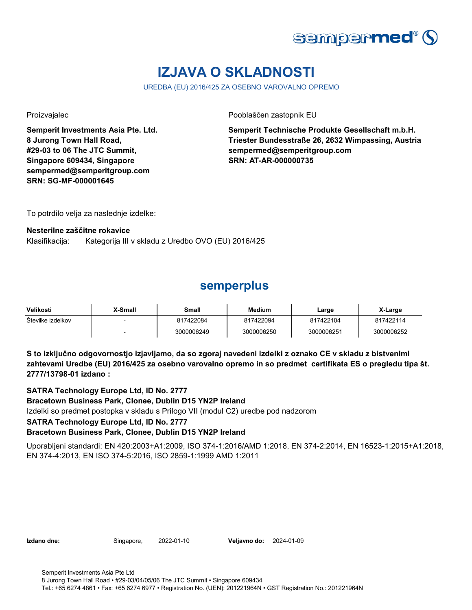

# **IZJAVA O SKLADNOSTI**

UREDBA (EU) 2016/425 ZA OSEBNO VAROVALNO OPREMO

**Semperit Investments Asia Pte. Ltd. 8 Jurong Town Hall Road, #29-03 to 06 The JTC Summit, Singapore 609434, Singapore sempermed@semperitgroup.com SRN: SG-MF-000001645**

Proizvajalec Pooblaščen zastopnik EU

**Semperit Technische Produkte Gesellschaft m.b.H. Triester Bundesstraße 26, 2632 Wimpassing, Austria sempermed@semperitgroup.com SRN: AT-AR-000000735**

To potrdilo velja za naslednje izdelke:

### **Nesterilne zaščitne rokavice**

Klasifikacija: Kategorija III v skladu z Uredbo OVO (EU) 2016/425

## **semperplus**

| Velikosti         | X-Small | Small      | <b>Medium</b> | Large      | X-Large    |
|-------------------|---------|------------|---------------|------------|------------|
| Stevilke izdelkov |         | 817422084  | 817422094     | 817422104  | 817422114  |
|                   |         | 3000006249 | 3000006250    | 3000006251 | 3000006252 |

**S to izključno odgovornostjo izjavljamo, da so zgoraj navedeni izdelki z oznako CE v skladu z bistvenimi zahtevami Uredbe (EU) 2016/425 za osebno varovalno opremo in so predmet certifikata ES o pregledu tipa št. 2777/13798-01 izdano :**

**SATRA Technology Europe Ltd, ID No. 2777**

**Bracetown Business Park, Clonee, Dublin D15 YN2P Ireland**

Izdelki so predmet postopka v skladu s Prilogo VII (modul C2) uredbe pod nadzorom

### **SATRA Technology Europe Ltd, ID No. 2777**

### **Bracetown Business Park, Clonee, Dublin D15 YN2P Ireland**

Uporabljeni standardi: EN 420:2003+A1:2009, ISO 374-1:2016/AMD 1:2018, EN 374-2:2014, EN 16523-1:2015+A1:2018, EN 374-4:2013, EN ISO 374-5:2016, ISO 2859-1:1999 AMD 1:2011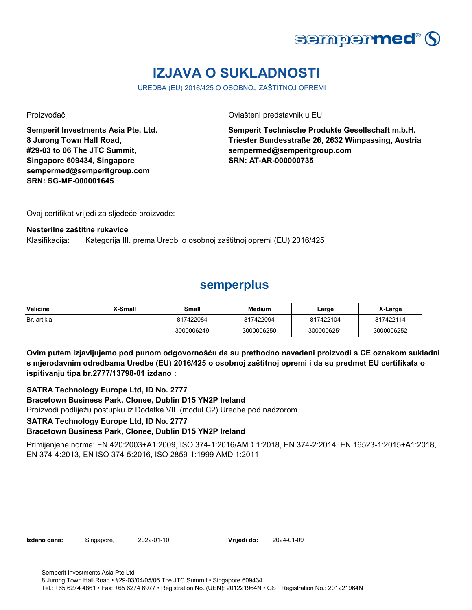

# **IZJAVA O SUKLADNOSTI**

UREDBA (EU) 2016/425 O OSOBNOJ ZAŠTITNOJ OPREMI

**Semperit Investments Asia Pte. Ltd. 8 Jurong Town Hall Road, #29-03 to 06 The JTC Summit, Singapore 609434, Singapore sempermed@semperitgroup.com SRN: SG-MF-000001645**

Proizvođač Ovlašteni predstavnik u EU

**Semperit Technische Produkte Gesellschaft m.b.H. Triester Bundesstraße 26, 2632 Wimpassing, Austria sempermed@semperitgroup.com SRN: AT-AR-000000735**

Ovaj certifikat vrijedi za sljedeće proizvode:

#### **Nesterilne zaštitne rukavice**

Klasifikacija: Kategorija III. prema Uredbi o osobnoj zaštitnoj opremi (EU) 2016/425

### **semperplus**

| Veličine    | X-Small | Small      | Medium     | Large      | X-Large    |
|-------------|---------|------------|------------|------------|------------|
| Br. artikla |         | 817422084  | 817422094  | 817422104  | 817422114  |
|             |         | 3000006249 | 3000006250 | 3000006251 | 3000006252 |

**Ovim putem izjavljujemo pod punom odgovornošću da su prethodno navedeni proizvodi s CE oznakom sukladni s mjerodavnim odredbama Uredbe (EU) 2016/425 o osobnoj zaštitnoj opremi i da su predmet EU certifikata o ispitivanju tipa br.2777/13798-01 izdano :**

**SATRA Technology Europe Ltd, ID No. 2777**

**Bracetown Business Park, Clonee, Dublin D15 YN2P Ireland**

Proizvodi podliježu postupku iz Dodatka VII. (modul C2) Uredbe pod nadzorom

**SATRA Technology Europe Ltd, ID No. 2777**

### **Bracetown Business Park, Clonee, Dublin D15 YN2P Ireland**

Primijenjene norme: EN 420:2003+A1:2009, ISO 374-1:2016/AMD 1:2018, EN 374-2:2014, EN 16523-1:2015+A1:2018, EN 374-4:2013, EN ISO 374-5:2016, ISO 2859-1:1999 AMD 1:2011

**Izdano dana:** Singapore, 2022-01-10 **Vrijedi do:** 2024-01-09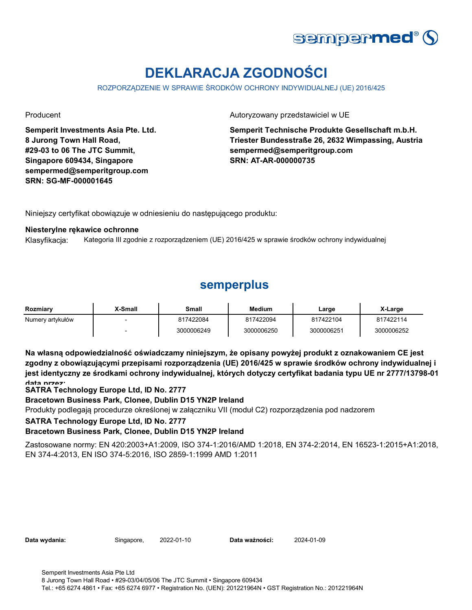

# **DEKLARACJA ZGODNOŚCI**

ROZPORZĄDZENIE W SPRAWIE ŚRODKÓW OCHRONY INDYWIDUALNEJ (UE) 2016/425

**Semperit Investments Asia Pte. Ltd. 8 Jurong Town Hall Road, #29-03 to 06 The JTC Summit, Singapore 609434, Singapore sempermed@semperitgroup.com SRN: SG-MF-000001645**

Producent **Autoryzowany przedstawiciel w UE** 

**Semperit Technische Produkte Gesellschaft m.b.H. Triester Bundesstraße 26, 2632 Wimpassing, Austria sempermed@semperitgroup.com SRN: AT-AR-000000735**

Niniejszy certyfikat obowiązuje w odniesieniu do następującego produktu:

#### **Niesterylne rękawice ochronne**

Klasyfikacja: Kategoria III zgodnie z rozporządzeniem (UE) 2016/425 w sprawie środków ochrony indywidualnej

## **semperplus**

| Rozmiarv         | <b>Y-Small</b> | Small      | <b>Medium</b> | Large      | X-Large    |
|------------------|----------------|------------|---------------|------------|------------|
| Numery artykułów |                | 817422084  | 817422094     | 817422104  | 817422114  |
|                  |                | 3000006249 | 3000006250    | 3000006251 | 3000006252 |

**Na własną odpowiedzialność oświadczamy niniejszym, że opisany powyżej produkt z oznakowaniem CE jest zgodny z obowiązującymi przepisami rozporządzenia (UE) 2016/425 w sprawie środków ochrony indywidualnej i jest identyczny ze środkami ochrony indywidualnej, których dotyczy certyfikat badania typu UE nr 2777/13798-01 data przez:**

**SATRA Technology Europe Ltd, ID No. 2777**

**Bracetown Business Park, Clonee, Dublin D15 YN2P Ireland**

Produkty podlegają procedurze określonej w załączniku VII (moduł C2) rozporządzenia pod nadzorem

### **SATRA Technology Europe Ltd, ID No. 2777**

### **Bracetown Business Park, Clonee, Dublin D15 YN2P Ireland**

Zastosowane normy: EN 420:2003+A1:2009, ISO 374-1:2016/AMD 1:2018, EN 374-2:2014, EN 16523-1:2015+A1:2018, EN 374-4:2013, EN ISO 374-5:2016, ISO 2859-1:1999 AMD 1:2011

| Data wydania: |  |  |
|---------------|--|--|
|---------------|--|--|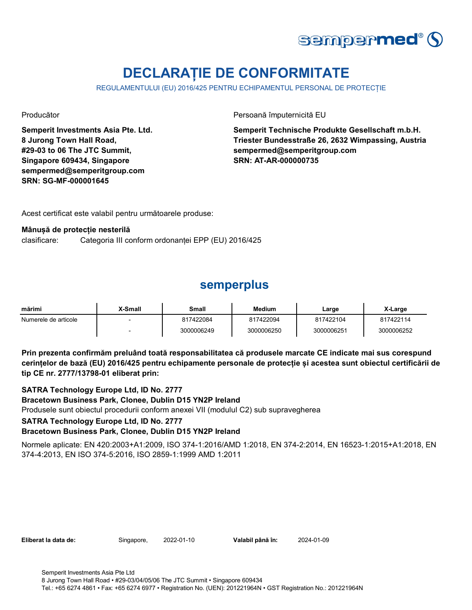

# **DECLARAȚIE DE CONFORMITATE**

REGULAMENTULUI (EU) 2016/425 PENTRU ECHIPAMENTUL PERSONAL DE PROTECȚIE

**Semperit Investments Asia Pte. Ltd. 8 Jurong Town Hall Road, #29-03 to 06 The JTC Summit, Singapore 609434, Singapore sempermed@semperitgroup.com SRN: SG-MF-000001645**

Producător **Producător** Persoană împuternicită EU

**Semperit Technische Produkte Gesellschaft m.b.H. Triester Bundesstraße 26, 2632 Wimpassing, Austria sempermed@semperitgroup.com SRN: AT-AR-000000735**

Acest certificat este valabil pentru următoarele produse:

### **Mânușă de protecție nesterilă**

clasificare: Categoria III conform ordonanței EPP (EU) 2016/425

## **semperplus**

| mărimi               | X-Small | Small      | <b>Medium</b> | Large      | X-Large    |
|----------------------|---------|------------|---------------|------------|------------|
| Numerele de articole |         | 817422084  | 817422094     | 817422104  | 817422114  |
|                      |         | 3000006249 | 3000006250    | 3000006251 | 3000006252 |

**Prin prezenta confirmăm preluând toată responsabilitatea că produsele marcate CE indicate mai sus corespund cerințelor de bază (EU) 2016/425 pentru echipamente personale de protecție și acestea sunt obiectul certificării de tip CE nr. 2777/13798-01 eliberat prin:**

**SATRA Technology Europe Ltd, ID No. 2777**

**Bracetown Business Park, Clonee, Dublin D15 YN2P Ireland**

Produsele sunt obiectul procedurii conform anexei VII (modulul C2) sub supravegherea

### **SATRA Technology Europe Ltd, ID No. 2777**

### **Bracetown Business Park, Clonee, Dublin D15 YN2P Ireland**

Normele aplicate: EN 420:2003+A1:2009, ISO 374-1:2016/AMD 1:2018, EN 374-2:2014, EN 16523-1:2015+A1:2018, EN 374-4:2013, EN ISO 374-5:2016, ISO 2859-1:1999 AMD 1:2011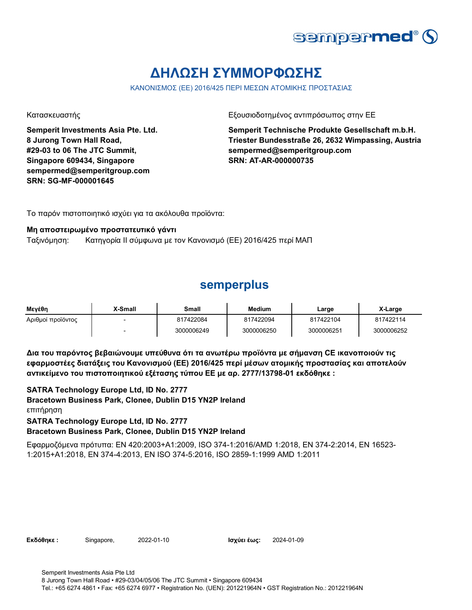

# **ΔΗΛΩΣΗ ΣΥΜΜΟΡΦΩΣΗΣ**

ΚΑΝΟΝΙΣΜΟΣ (ΕΕ) 2016/425 ΠΕΡΙ ΜΕΣΩΝ ΑΤΟΜΙΚΗΣ ΠΡΟΣΤΑΣΙΑΣ

**Semperit Investments Asia Pte. Ltd. 8 Jurong Town Hall Road, #29-03 to 06 The JTC Summit, Singapore 609434, Singapore sempermed@semperitgroup.com SRN: SG-MF-000001645**

Κατασκευαστής Γεριοδοτημένος αντιπρόσωπος στην ΕΕ

**Semperit Technische Produkte Gesellschaft m.b.H. Triester Bundesstraße 26, 2632 Wimpassing, Austria sempermed@semperitgroup.com SRN: AT-AR-000000735**

Το παρόν πιστοποιητικό ισχύει για τα ακόλουθα προϊόντα:

#### **Μη αποστειρωμένο προστατευτικό γάντι**

Ταξινόμηση: Κατηγορία II σύμφωνα με τον Κανονισμό (ΕΕ) 2016/425 περί ΜΑΠ

### **semperplus**

| Μενέθη            | <b>X-Small</b> | Small      | <b>Medium</b> | Large      | X-Large    |
|-------------------|----------------|------------|---------------|------------|------------|
| Αριθμοί προϊόντος |                | 817422084  | 817422094     | 817422104  | 817422114  |
|                   |                | 3000006249 | 3000006250    | 3000006251 | 3000006252 |

**Δια του παρόντος βεβαιώνουμε υπεύθυνα ότι τα ανωτέρω προϊόντα με σήμανση CE ικανοποιούν τις εφαρμοστέες διατάξεις του Κανονισμού (ΕΕ) 2016/425 περί μέσων ατομικής προστασίας και αποτελούν αντικείμενο του πιστοποιητικού εξέτασης τύπου ΕΕ με αρ. 2777/13798-01 εκδόθηκε :**

 **Bracetown Business Park, Clonee, Dublin D15 YN2P Ireland** επιτήρηση **SATRA Technology Europe Ltd, ID No. 2777 SATRA Technology Europe Ltd, ID No. 2777 Bracetown Business Park, Clonee, Dublin D15 YN2P Ireland**

Εφαρμοζόμενα πρότυπα: EN 420:2003+A1:2009, ISO 374-1:2016/AMD 1:2018, EN 374-2:2014, EN 16523- 1:2015+A1:2018, EN 374-4:2013, EN ISO 374-5:2016, ISO 2859-1:1999 AMD 1:2011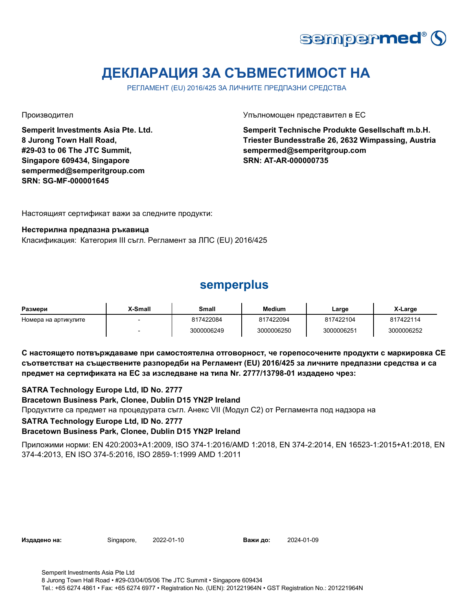

# **ДЕКЛАРАЦИЯ ЗА СЪВМЕСТИМОСТ НА**

РЕГЛАМЕНТ (EU) 2016/425 ЗА ЛИЧНИТЕ ПРЕДПАЗНИ СРЕДСТВА

**Semperit Investments Asia Pte. Ltd. 8 Jurong Town Hall Road, #29-03 to 06 The JTC Summit, Singapore 609434, Singapore sempermed@semperitgroup.com SRN: SG-MF-000001645**

Производител Упълномощен представител в ЕС

**Semperit Technische Produkte Gesellschaft m.b.H. Triester Bundesstraße 26, 2632 Wimpassing, Austria sempermed@semperitgroup.com SRN: AT-AR-000000735**

Настоящият сертификат важи за следните продукти:

#### **Нестерилна предпазна ръкавица**

Класификация: Категория III съгл. Регламент за ЛПС (EU) 2016/425

### **semperplus**

| Размери              | <b>X-Small</b> | Small      | <b>Medium</b> | Large      | X-Large    |
|----------------------|----------------|------------|---------------|------------|------------|
| Номера на артикулите |                | 817422084  | 817422094     | 817422104  | 817422114  |
|                      |                | 3000006249 | 3000006250    | 3000006251 | 3000006252 |

**С настоящето потвърждаваме при самостоятелна отговорност, че горепосочените продукти с маркировка СЕ съответстват на съществените разпоредби на Регламент (EU) 2016/425 за личните предпазни средства и са предмет на сертификата на ЕС за изследване на типа Nr. 2777/13798-01 издадено чрез:**

**SATRA Technology Europe Ltd, ID No. 2777**

**Bracetown Business Park, Clonee, Dublin D15 YN2P Ireland**

Продуктите са предмет на процедурата съгл. Анекс VII (Модул С2) от Регламента под надзора на

**SATRA Technology Europe Ltd, ID No. 2777**

### **Bracetown Business Park, Clonee, Dublin D15 YN2P Ireland**

Приложими норми: EN 420:2003+A1:2009, ISO 374-1:2016/AMD 1:2018, EN 374-2:2014, EN 16523-1:2015+A1:2018, EN 374-4:2013, EN ISO 374-5:2016, ISO 2859-1:1999 AMD 1:2011

**Издадено на:** Singapore, **Важи до:**

2024-01-09